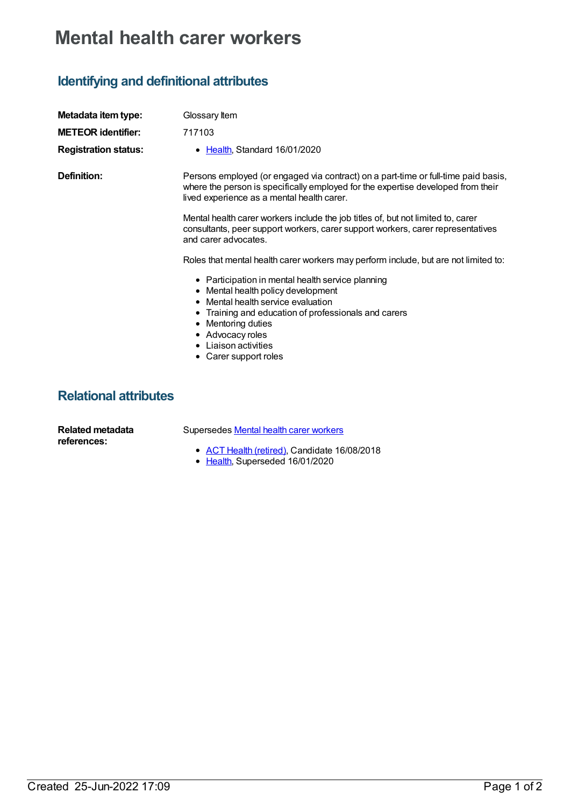## **Mental health carer workers**

## **Identifying and definitional attributes**

| Metadata item type:                    | Glossary Item                                                                                                                                                                                                                                                                    |
|----------------------------------------|----------------------------------------------------------------------------------------------------------------------------------------------------------------------------------------------------------------------------------------------------------------------------------|
| <b>METEOR identifier:</b>              | 717103                                                                                                                                                                                                                                                                           |
| <b>Registration status:</b>            | • Health, Standard 16/01/2020                                                                                                                                                                                                                                                    |
| Definition:                            | Persons employed (or engaged via contract) on a part-time or full-time paid basis,<br>where the person is specifically employed for the expertise developed from their<br>lived experience as a mental health carer.                                                             |
|                                        | Mental health carer workers include the job titles of, but not limited to, carer<br>consultants, peer support workers, carer support workers, carer representatives<br>and carer advocates.                                                                                      |
|                                        | Roles that mental health carer workers may perform include, but are not limited to:                                                                                                                                                                                              |
|                                        | • Participation in mental health service planning<br>• Mental health policy development<br>• Mental health service evaluation<br>• Training and education of professionals and carers<br>• Mentoring duties<br>• Advocacy roles<br>• Liaison activities<br>• Carer support roles |
| <b>Relational attributes</b>           |                                                                                                                                                                                                                                                                                  |
| <b>Related metadata</b><br>references: | Supersedes Mental health carer workers                                                                                                                                                                                                                                           |

- ACT Health [\(retired\)](https://meteor.aihw.gov.au/RegistrationAuthority/9), Candidate 16/08/2018
- [Health](https://meteor.aihw.gov.au/RegistrationAuthority/12), Superseded 16/01/2020